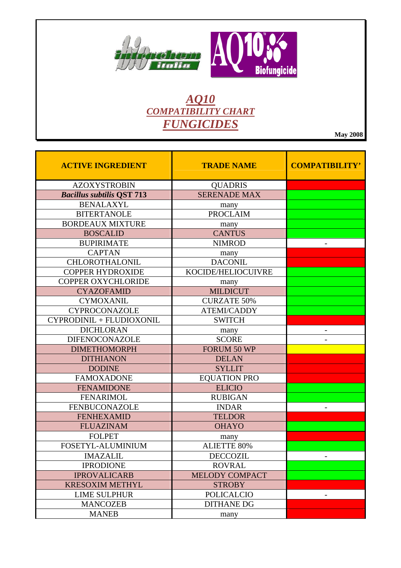

## **AQ10**<br>COMPATIBILITY CHART **FUNGICIDES**

**May 2008** 

| <b>ACTIVE INGREDIENT</b>         | <b>TRADE NAME</b>   | <b>COMPATIBILITY'</b>    |
|----------------------------------|---------------------|--------------------------|
| <b>AZOXYSTROBIN</b>              | <b>QUADRIS</b>      |                          |
| <b>Bacillus subtilis QST 713</b> | <b>SERENADE MAX</b> |                          |
| <b>BENALAXYL</b>                 | many                |                          |
| <b>BITERTANOLE</b>               | <b>PROCLAIM</b>     |                          |
| <b>BORDEAUX MIXTURE</b>          | many                |                          |
| <b>BOSCALID</b>                  | <b>CANTUS</b>       |                          |
| <b>BUPIRIMATE</b>                | <b>NIMROD</b>       |                          |
| <b>CAPTAN</b>                    | many                |                          |
| CHLOROTHALONIL                   | <b>DACONIL</b>      |                          |
| <b>COPPER HYDROXIDE</b>          | KOCIDE/HELIOCUIVRE  |                          |
| <b>COPPER OXYCHLORIDE</b>        | many                |                          |
| <b>CYAZOFAMID</b>                | <b>MILDICUT</b>     |                          |
| <b>CYMOXANIL</b>                 | <b>CURZATE 50%</b>  |                          |
| <b>CYPROCONAZOLE</b>             | <b>ATEMI/CADDY</b>  |                          |
| CYPRODINIL + FLUDIOXONIL         | <b>SWITCH</b>       |                          |
| <b>DICHLORAN</b>                 | many                |                          |
| <b>DIFENOCONAZOLE</b>            | <b>SCORE</b>        |                          |
| <b>DIMETHOMORPH</b>              | FORUM 50 WP         |                          |
| <b>DITHIANON</b>                 | <b>DELAN</b>        |                          |
| <b>DODINE</b>                    | <b>SYLLIT</b>       |                          |
| <b>FAMOXADONE</b>                | <b>EQUATION PRO</b> |                          |
| <b>FENAMIDONE</b>                | <b>ELICIO</b>       |                          |
| <b>FENARIMOL</b>                 | <b>RUBIGAN</b>      |                          |
| FENBUCONAZOLE                    | <b>INDAR</b>        |                          |
| <b>FENHEXAMID</b>                | <b>TELDOR</b>       |                          |
| <b>FLUAZINAM</b>                 | <b>OHAYO</b>        |                          |
| <b>FOLPET</b>                    | many                |                          |
| FOSETYL-ALUMINIUM                | <b>ALIETTE 80%</b>  |                          |
| <b>IMAZALIL</b>                  | <b>DECCOZIL</b>     |                          |
| <b>IPRODIONE</b>                 | <b>ROVRAL</b>       |                          |
| <b>IPROVALICARB</b>              | MELODY COMPACT      |                          |
| <b>KRESOXIM METHYL</b>           | <b>STROBY</b>       |                          |
| <b>LIME SULPHUR</b>              | <b>POLICALCIO</b>   | $\overline{\phantom{a}}$ |
| <b>MANCOZEB</b>                  | <b>DITHANE DG</b>   |                          |
| <b>MANEB</b>                     | many                |                          |